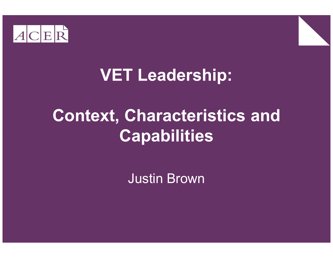



#### VET Leadership:

#### Context, Characteristics and Capabilities

Justin Brown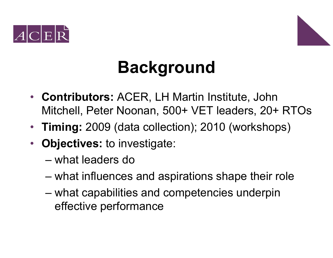



# Background

- Contributors: ACER, LH Martin Institute, John Mitchell, Peter Noonan, 500+ VET leaders, 20+ RTOs
- Timing: 2009 (data collection); 2010 (workshops)
- Objectives: to investigate:
	- –what leaders do
	- –what influences and aspirations shape their role
	- –what capabilities and competencies underpin effective performance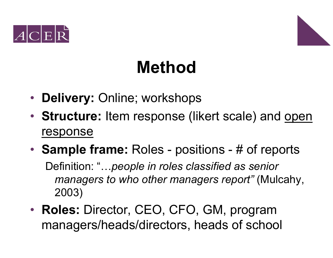



### Method

- Delivery: Online; workshops
- Structure: Item response (likert scale) and open response
- **Sample frame:** Roles positions # of reports Definition: "...people in roles classified as senior managers to who other managers report" (Mulcahy, 2003)
- Roles: Director, CEO, CFO, GM, program managers/heads/directors, heads of school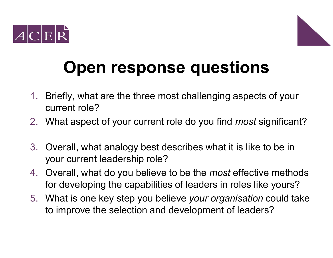



# Open response questions

- 1. Briefly, what are the three most challenging aspects of your current role?
- 2. What aspect of your current role do you find *most* significant?
- 3. Overall, what analogy best describes what it is like to be in your current leadership role?
- 4. Overall, what do you believe to be the *most* effective methods for developing the capabilities of leaders in roles like yours?
- 5. What is one key step you believe your organisation could take to improve the selection and development of leaders?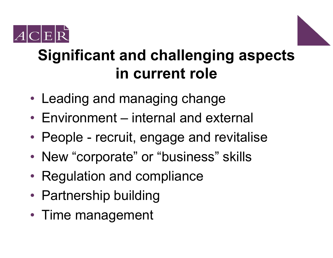



#### Significant and challenging aspects in current role

- Leading and managing change
- Environment internal and external
- People recruit, engage and revitalise
- •• New "corporate" or "business" skills
- Regulation and compliance
- Partnership building
- Time management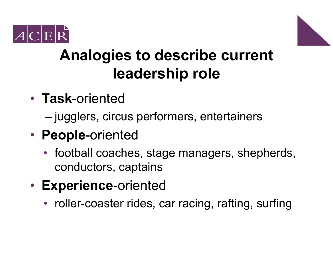



#### Analogies to describe current leadership role

- Task-oriented
	- jugglers, circus performers, entertainers
- People-oriented
	- football coaches, stage managers, shepherds, conductors, captains
- Experience-oriented
	- roller-coaster rides, car racing, rafting, surfing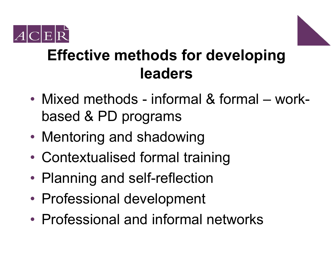



#### Effective methods for developing leaders

- •• Mixed methods - informal & formal – workbased & PD programs
- •Mentoring and shadowing
- •Contextualised formal training
- •• Planning and self-reflection
- •• Professional development
- •Professional and informal networks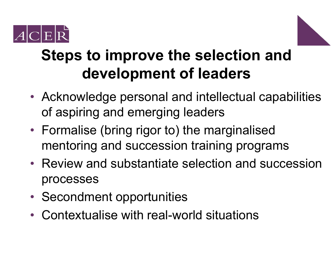



#### Steps to improve the selection and development of leaders

- Acknowledge personal and intellectual capabilities of aspiring and emerging leaders
- Formalise (bring rigor to) the marginalised mentoring and succession training programs
- Review and substantiate selection and succession processes
- Secondment opportunities
- Contextualise with real-world situations